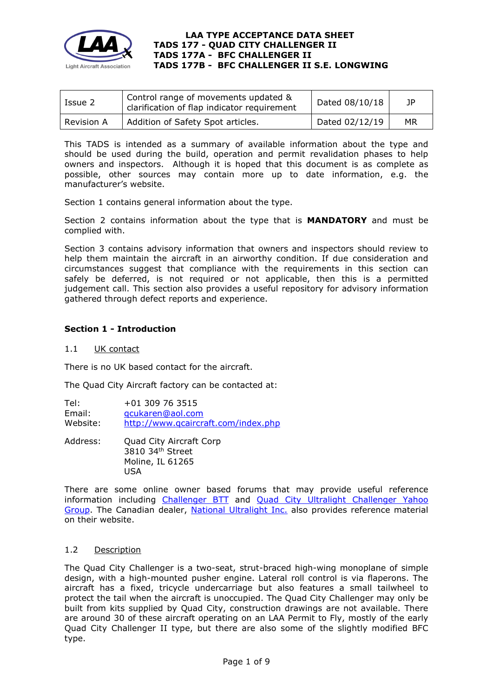

| Issue 2    | Control range of movements updated &<br>clarification of flap indicator requirement | Dated 08/10/18 | JP. |
|------------|-------------------------------------------------------------------------------------|----------------|-----|
| Revision A | Addition of Safety Spot articles.                                                   | Dated 02/12/19 | МR  |

This TADS is intended as a summary of available information about the type and should be used during the build, operation and permit revalidation phases to help owners and inspectors. Although it is hoped that this document is as complete as possible, other sources may contain more up to date information, e.g. the manufacturer's website.

Section 1 contains general information about the type.

Section 2 contains information about the type that is **MANDATORY** and must be complied with.

Section 3 contains advisory information that owners and inspectors should review to help them maintain the aircraft in an airworthy condition. If due consideration and circumstances suggest that compliance with the requirements in this section can safely be deferred, is not required or not applicable, then this is a permitted judgement call. This section also provides a useful repository for advisory information gathered through defect reports and experience.

## **Section 1 - Introduction**

## 1.1 UK contact

There is no UK based contact for the aircraft.

The Quad City Aircraft factory can be contacted at:

Tel: +01 309 76 3515 Email: [qcukaren@aol.com](mailto:qcukaren@aol.com) Website: <http://www.qcaircraft.com/index.php>

Address: Quad City Aircraft Corp 3810 34th Street Moline, IL 61265 USA

There are some online owner based forums that may provide useful reference information including [Challenger BTT](http://www.challengers101.com/ChProjHome.html) and Quad City Ultralight Challenger Yahoo [Group.](https://groups.yahoo.com/neo/groups/FlyChallenger/info) The Canadian dealer, [National Ultralight Inc.](http://www.challenger.ca/index.html) also provides reference material on their website.

## 1.2 Description

The Quad City Challenger is a two-seat, strut-braced high-wing monoplane of simple design, with a high-mounted pusher engine. Lateral roll control is via flaperons. The aircraft has a fixed, tricycle undercarriage but also features a small tailwheel to protect the tail when the aircraft is unoccupied. The Quad City Challenger may only be built from kits supplied by Quad City, construction drawings are not available. There are around 30 of these aircraft operating on an LAA Permit to Fly, mostly of the early Quad City Challenger II type, but there are also some of the slightly modified BFC type.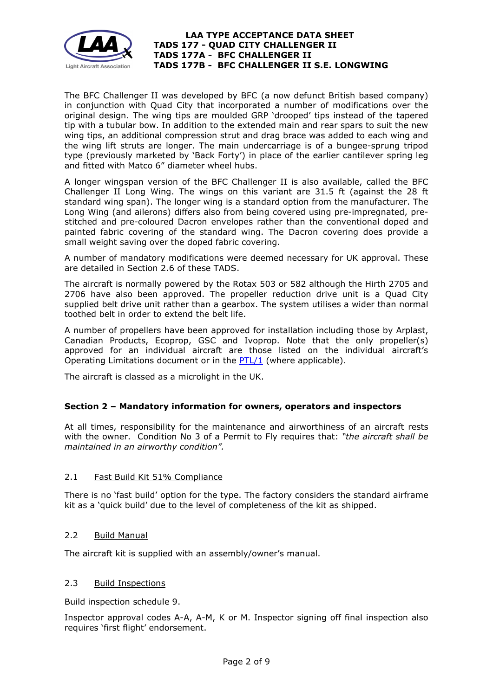

The BFC Challenger II was developed by BFC (a now defunct British based company) in conjunction with Quad City that incorporated a number of modifications over the original design. The wing tips are moulded GRP 'drooped' tips instead of the tapered tip with a tubular bow. In addition to the extended main and rear spars to suit the new wing tips, an additional compression strut and drag brace was added to each wing and the wing lift struts are longer. The main undercarriage is of a bungee-sprung tripod type (previously marketed by 'Back Forty') in place of the earlier cantilever spring leg and fitted with Matco 6" diameter wheel hubs.

A longer wingspan version of the BFC Challenger II is also available, called the BFC Challenger II Long Wing. The wings on this variant are 31.5 ft (against the 28 ft standard wing span). The longer wing is a standard option from the manufacturer. The Long Wing (and ailerons) differs also from being covered using pre-impregnated, prestitched and pre-coloured Dacron envelopes rather than the conventional doped and painted fabric covering of the standard wing. The Dacron covering does provide a small weight saving over the doped fabric covering.

A number of mandatory modifications were deemed necessary for UK approval. These are detailed in Section 2.6 of these TADS.

The aircraft is normally powered by the Rotax 503 or 582 although the Hirth 2705 and 2706 have also been approved. The propeller reduction drive unit is a Quad City supplied belt drive unit rather than a gearbox. The system utilises a wider than normal toothed belt in order to extend the belt life.

A number of propellers have been approved for installation including those by Arplast, Canadian Products, Ecoprop, GSC and Ivoprop. Note that the only propeller(s) approved for an individual aircraft are those listed on the individual aircraft's Operating Limitations document or in the [PTL/1](http://www.lightaircraftassociation.co.uk/engineering/NewMods/PTL.html) (where applicable).

The aircraft is classed as a microlight in the UK.

## **Section 2 – Mandatory information for owners, operators and inspectors**

At all times, responsibility for the maintenance and airworthiness of an aircraft rests with the owner. Condition No 3 of a Permit to Fly requires that: *"the aircraft shall be maintained in an airworthy condition".* 

## 2.1 Fast Build Kit 51% Compliance

There is no 'fast build' option for the type. The factory considers the standard airframe kit as a 'quick build' due to the level of completeness of the kit as shipped.

## 2.2 Build Manual

The aircraft kit is supplied with an assembly/owner's manual.

## 2.3 Build Inspections

Build inspection schedule 9.

Inspector approval codes A-A, A-M, K or M. Inspector signing off final inspection also requires 'first flight' endorsement.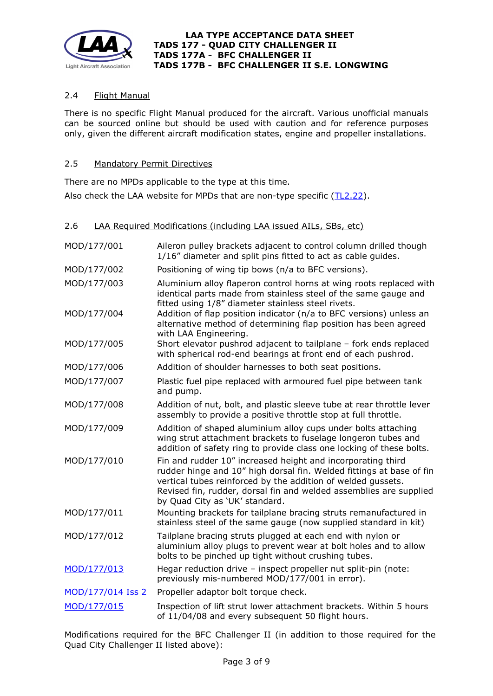

# 2.4 Flight Manual

There is no specific Flight Manual produced for the aircraft. Various unofficial manuals can be sourced online but should be used with caution and for reference purposes only, given the different aircraft modification states, engine and propeller installations.

## 2.5 Mandatory Permit Directives

There are no MPDs applicable to the type at this time.

Also check the LAA website for MPDs that are non-type specific [\(TL2.22\)](http://www.lightaircraftassociation.co.uk/engineering/TechnicalLeaflets/Operating%20An%20Aircraft/TL%202.22%20non-type%20specific%20MPDs.pdf).

| 2.6 | LAA Required Modifications (including LAA issued AILs, SBs, etc) |  |  |
|-----|------------------------------------------------------------------|--|--|
|     |                                                                  |  |  |

| MOD/177/001       | Aileron pulley brackets adjacent to control column drilled though<br>1/16" diameter and split pins fitted to act as cable guides.                                                                                                                                                                           |
|-------------------|-------------------------------------------------------------------------------------------------------------------------------------------------------------------------------------------------------------------------------------------------------------------------------------------------------------|
| MOD/177/002       | Positioning of wing tip bows (n/a to BFC versions).                                                                                                                                                                                                                                                         |
| MOD/177/003       | Aluminium alloy flaperon control horns at wing roots replaced with<br>identical parts made from stainless steel of the same gauge and<br>fitted using 1/8" diameter stainless steel rivets.                                                                                                                 |
| MOD/177/004       | Addition of flap position indicator (n/a to BFC versions) unless an<br>alternative method of determining flap position has been agreed<br>with LAA Engineering.                                                                                                                                             |
| MOD/177/005       | Short elevator pushrod adjacent to tailplane - fork ends replaced<br>with spherical rod-end bearings at front end of each pushrod.                                                                                                                                                                          |
| MOD/177/006       | Addition of shoulder harnesses to both seat positions.                                                                                                                                                                                                                                                      |
| MOD/177/007       | Plastic fuel pipe replaced with armoured fuel pipe between tank<br>and pump.                                                                                                                                                                                                                                |
| MOD/177/008       | Addition of nut, bolt, and plastic sleeve tube at rear throttle lever<br>assembly to provide a positive throttle stop at full throttle.                                                                                                                                                                     |
| MOD/177/009       | Addition of shaped aluminium alloy cups under bolts attaching<br>wing strut attachment brackets to fuselage longeron tubes and<br>addition of safety ring to provide class one locking of these bolts.                                                                                                      |
| MOD/177/010       | Fin and rudder 10" increased height and incorporating third<br>rudder hinge and 10" high dorsal fin. Welded fittings at base of fin<br>vertical tubes reinforced by the addition of welded gussets.<br>Revised fin, rudder, dorsal fin and welded assemblies are supplied<br>by Quad City as 'UK' standard. |
| MOD/177/011       | Mounting brackets for tailplane bracing struts remanufactured in<br>stainless steel of the same gauge (now supplied standard in kit)                                                                                                                                                                        |
| MOD/177/012       | Tailplane bracing struts plugged at each end with nylon or<br>aluminium alloy plugs to prevent wear at bolt holes and to allow<br>bolts to be pinched up tight without crushing tubes.                                                                                                                      |
| MOD/177/013       | Hegar reduction drive - inspect propeller nut split-pin (note:<br>previously mis-numbered MOD/177/001 in error).                                                                                                                                                                                            |
| MOD/177/014 Iss 2 | Propeller adaptor bolt torque check.                                                                                                                                                                                                                                                                        |
| MOD/177/015       | Inspection of lift strut lower attachment brackets. Within 5 hours<br>of 11/04/08 and every subsequent 50 flight hours.                                                                                                                                                                                     |

Modifications required for the BFC Challenger II (in addition to those required for the Quad City Challenger II listed above):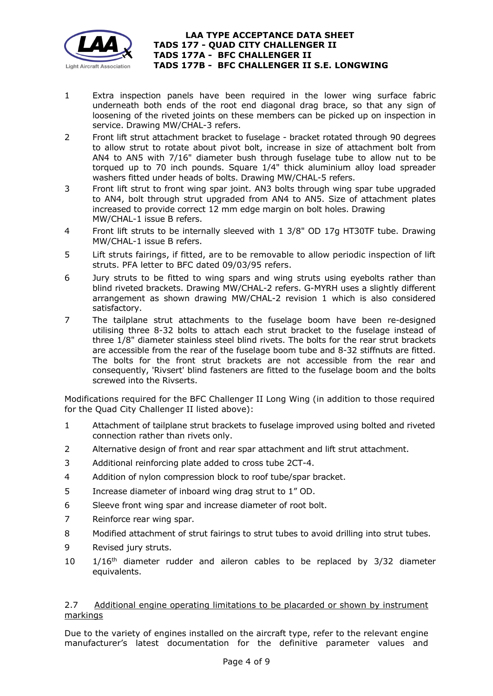

- 1 Extra inspection panels have been required in the lower wing surface fabric underneath both ends of the root end diagonal drag brace, so that any sign of loosening of the riveted joints on these members can be picked up on inspection in service. Drawing MW/CHAL-3 refers.
- 2 Front lift strut attachment bracket to fuselage bracket rotated through 90 degrees to allow strut to rotate about pivot bolt, increase in size of attachment bolt from AN4 to AN5 with 7/16" diameter bush through fuselage tube to allow nut to be torqued up to 70 inch pounds. Square 1/4" thick aluminium alloy load spreader washers fitted under heads of bolts. Drawing MW/CHAL-5 refers.
- 3 Front lift strut to front wing spar joint. AN3 bolts through wing spar tube upgraded to AN4, bolt through strut upgraded from AN4 to AN5. Size of attachment plates increased to provide correct 12 mm edge margin on bolt holes. Drawing MW/CHAL-1 issue B refers.
- 4 Front lift struts to be internally sleeved with 1 3/8" OD 17g HT30TF tube. Drawing MW/CHAL-1 issue B refers.
- 5 Lift struts fairings, if fitted, are to be removable to allow periodic inspection of lift struts. PFA letter to BFC dated 09/03/95 refers.
- 6 Jury struts to be fitted to wing spars and wing struts using eyebolts rather than blind riveted brackets. Drawing MW/CHAL-2 refers. G-MYRH uses a slightly different arrangement as shown drawing MW/CHAL-2 revision 1 which is also considered satisfactory.
- 7 The tailplane strut attachments to the fuselage boom have been re-designed utilising three 8-32 bolts to attach each strut bracket to the fuselage instead of three 1/8" diameter stainless steel blind rivets. The bolts for the rear strut brackets are accessible from the rear of the fuselage boom tube and 8-32 stiffnuts are fitted. The bolts for the front strut brackets are not accessible from the rear and consequently, 'Rivsert' blind fasteners are fitted to the fuselage boom and the bolts screwed into the Rivserts.

Modifications required for the BFC Challenger II Long Wing (in addition to those required for the Quad City Challenger II listed above):

- 1 Attachment of tailplane strut brackets to fuselage improved using bolted and riveted connection rather than rivets only.
- 2 Alternative design of front and rear spar attachment and lift strut attachment.
- 3 Additional reinforcing plate added to cross tube 2CT-4.
- 4 Addition of nylon compression block to roof tube/spar bracket.
- 5 Increase diameter of inboard wing drag strut to 1" OD.
- 6 Sleeve front wing spar and increase diameter of root bolt.
- 7 Reinforce rear wing spar.
- 8 Modified attachment of strut fairings to strut tubes to avoid drilling into strut tubes.
- 9 Revised jury struts.
- 10 1/16<sup>th</sup> diameter rudder and aileron cables to be replaced by 3/32 diameter equivalents.

## 2.7 Additional engine operating limitations to be placarded or shown by instrument markings

Due to the variety of engines installed on the aircraft type, refer to the relevant engine manufacturer's latest documentation for the definitive parameter values and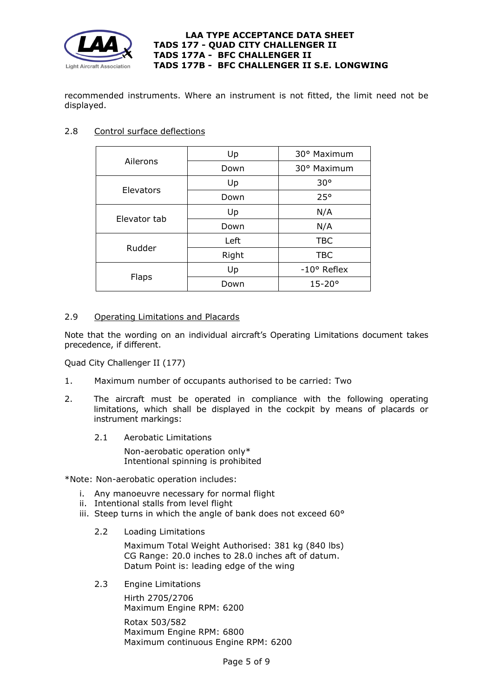

recommended instruments. Where an instrument is not fitted, the limit need not be displayed.

## 2.8 Control surface deflections

| Ailerons     | Up    | 30° Maximum          |  |
|--------------|-------|----------------------|--|
|              | Down  | 30° Maximum          |  |
| Elevators    | Up    | $30^{\circ}$         |  |
|              | Down  | 25°                  |  |
|              | Up    | N/A                  |  |
| Elevator tab | Down  | N/A                  |  |
|              | Left  | <b>TBC</b>           |  |
| Rudder       | Right | <b>TBC</b>           |  |
|              | Up    | $-10^{\circ}$ Reflex |  |
| Flaps        | Down  | $15 - 20^{\circ}$    |  |

# 2.9 Operating Limitations and Placards

Note that the wording on an individual aircraft's Operating Limitations document takes precedence, if different.

Quad City Challenger II (177)

- 1. Maximum number of occupants authorised to be carried: Two
- 2. The aircraft must be operated in compliance with the following operating limitations, which shall be displayed in the cockpit by means of placards or instrument markings:
	- 2.1 Aerobatic Limitations

Non-aerobatic operation only\* Intentional spinning is prohibited

\*Note: Non-aerobatic operation includes:

- i. Any manoeuvre necessary for normal flight
- ii. Intentional stalls from level flight
- iii. Steep turns in which the angle of bank does not exceed 60°
	- 2.2 Loading Limitations

Maximum Total Weight Authorised: 381 kg (840 lbs) CG Range: 20.0 inches to 28.0 inches aft of datum. Datum Point is: leading edge of the wing

2.3 Engine Limitations

Hirth 2705/2706 Maximum Engine RPM: 6200

Rotax 503/582 Maximum Engine RPM: 6800 Maximum continuous Engine RPM: 6200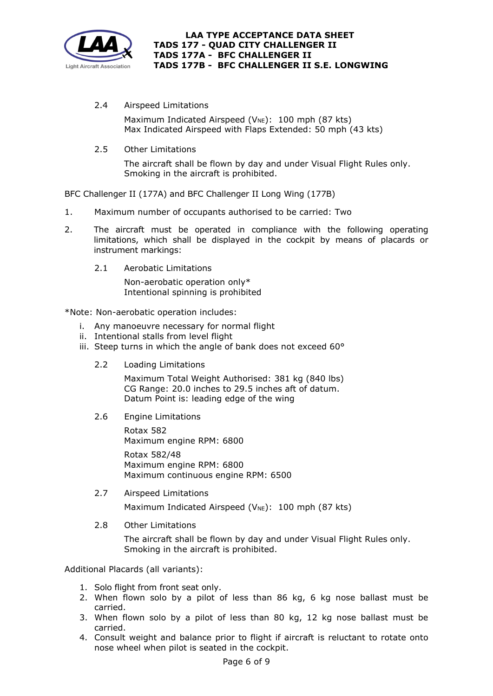

2.4 Airspeed Limitations

Maximum Indicated Airspeed ( $V_{NE}$ ): 100 mph (87 kts) Max Indicated Airspeed with Flaps Extended: 50 mph (43 kts)

2.5 Other Limitations

The aircraft shall be flown by day and under Visual Flight Rules only. Smoking in the aircraft is prohibited.

BFC Challenger II (177A) and BFC Challenger II Long Wing (177B)

- 1. Maximum number of occupants authorised to be carried: Two
- 2. The aircraft must be operated in compliance with the following operating limitations, which shall be displayed in the cockpit by means of placards or instrument markings:
	- 2.1 Aerobatic Limitations

Non-aerobatic operation only\* Intentional spinning is prohibited

## \*Note: Non-aerobatic operation includes:

- i. Any manoeuvre necessary for normal flight
- ii. Intentional stalls from level flight
- iii. Steep turns in which the angle of bank does not exceed 60°
	- 2.2 Loading Limitations

Maximum Total Weight Authorised: 381 kg (840 lbs) CG Range: 20.0 inches to 29.5 inches aft of datum. Datum Point is: leading edge of the wing

2.6 Engine Limitations

Rotax 582 Maximum engine RPM: 6800 Rotax 582/48 Maximum engine RPM: 6800 Maximum continuous engine RPM: 6500

2.7 Airspeed Limitations

Maximum Indicated Airspeed ( $V_{NE}$ ): 100 mph (87 kts)

2.8 Other Limitations

The aircraft shall be flown by day and under Visual Flight Rules only. Smoking in the aircraft is prohibited.

Additional Placards (all variants):

- 1. Solo flight from front seat only.
- 2. When flown solo by a pilot of less than 86 kg, 6 kg nose ballast must be carried.
- 3. When flown solo by a pilot of less than 80 kg, 12 kg nose ballast must be carried.
- 4. Consult weight and balance prior to flight if aircraft is reluctant to rotate onto nose wheel when pilot is seated in the cockpit.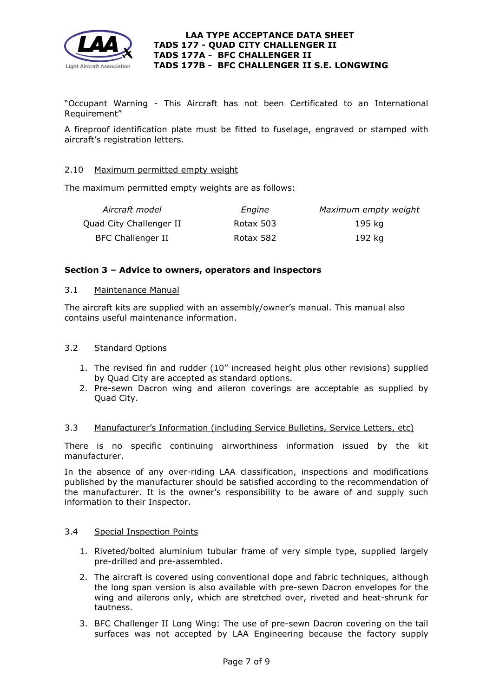

"Occupant Warning - This Aircraft has not been Certificated to an International Requirement"

A fireproof identification plate must be fitted to fuselage, engraved or stamped with aircraft's registration letters.

## 2.10 Maximum permitted empty weight

The maximum permitted empty weights are as follows:

| Aircraft model           | Engine    | Maximum empty weight |
|--------------------------|-----------|----------------------|
| Quad City Challenger II  | Rotax 503 | 195 ka               |
| <b>BFC Challenger II</b> | Rotax 582 | 192 kg               |

## **Section 3 – Advice to owners, operators and inspectors**

#### 3.1 Maintenance Manual

The aircraft kits are supplied with an assembly/owner's manual. This manual also contains useful maintenance information.

## 3.2 Standard Options

- 1. The revised fin and rudder (10" increased height plus other revisions) supplied by Quad City are accepted as standard options.
- 2. Pre-sewn Dacron wing and aileron coverings are acceptable as supplied by Quad City.

## 3.3 Manufacturer's Information (including Service Bulletins, Service Letters, etc)

There is no specific continuing airworthiness information issued by the kit manufacturer.

In the absence of any over-riding LAA classification, inspections and modifications published by the manufacturer should be satisfied according to the recommendation of the manufacturer. It is the owner's responsibility to be aware of and supply such information to their Inspector.

## 3.4 Special Inspection Points

- 1. Riveted/bolted aluminium tubular frame of very simple type, supplied largely pre-drilled and pre-assembled.
- 2. The aircraft is covered using conventional dope and fabric techniques, although the long span version is also available with pre-sewn Dacron envelopes for the wing and ailerons only, which are stretched over, riveted and heat-shrunk for tautness.
- 3. BFC Challenger II Long Wing: The use of pre-sewn Dacron covering on the tail surfaces was not accepted by LAA Engineering because the factory supply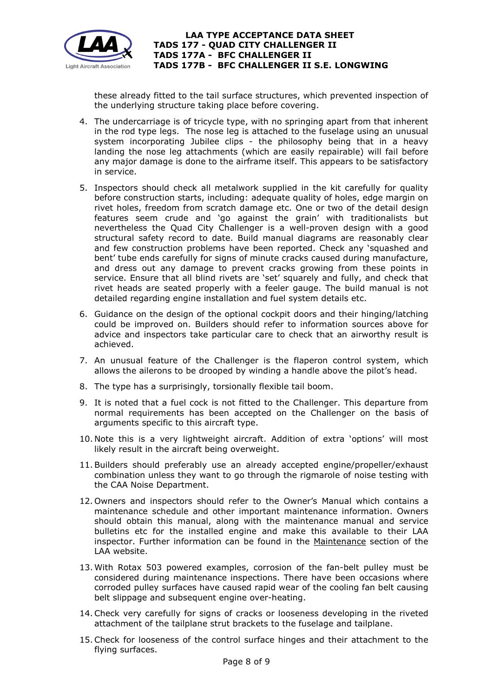

these already fitted to the tail surface structures, which prevented inspection of the underlying structure taking place before covering.

- 4. The undercarriage is of tricycle type, with no springing apart from that inherent in the rod type legs. The nose leg is attached to the fuselage using an unusual system incorporating Jubilee clips - the philosophy being that in a heavy landing the nose leg attachments (which are easily repairable) will fail before any major damage is done to the airframe itself. This appears to be satisfactory in service.
- 5. Inspectors should check all metalwork supplied in the kit carefully for quality before construction starts, including: adequate quality of holes, edge margin on rivet holes, freedom from scratch damage etc. One or two of the detail design features seem crude and 'go against the grain' with traditionalists but nevertheless the Quad City Challenger is a well-proven design with a good structural safety record to date. Build manual diagrams are reasonably clear and few construction problems have been reported. Check any 'squashed and bent' tube ends carefully for signs of minute cracks caused during manufacture, and dress out any damage to prevent cracks growing from these points in service. Ensure that all blind rivets are 'set' squarely and fully, and check that rivet heads are seated properly with a feeler gauge. The build manual is not detailed regarding engine installation and fuel system details etc.
- 6. Guidance on the design of the optional cockpit doors and their hinging/latching could be improved on. Builders should refer to information sources above for advice and inspectors take particular care to check that an airworthy result is achieved.
- 7. An unusual feature of the Challenger is the flaperon control system, which allows the ailerons to be drooped by winding a handle above the pilot's head.
- 8. The type has a surprisingly, torsionally flexible tail boom.
- 9. It is noted that a fuel cock is not fitted to the Challenger. This departure from normal requirements has been accepted on the Challenger on the basis of arguments specific to this aircraft type.
- 10. Note this is a very lightweight aircraft. Addition of extra 'options' will most likely result in the aircraft being overweight.
- 11.Builders should preferably use an already accepted engine/propeller/exhaust combination unless they want to go through the rigmarole of noise testing with the CAA Noise Department.
- 12. Owners and inspectors should refer to the Owner's Manual which contains a maintenance schedule and other important maintenance information. Owners should obtain this manual, along with the maintenance manual and service bulletins etc for the installed engine and make this available to their LAA inspector. Further information can be found in the [Maintenance](http://www.lightaircraftassociation.co.uk/engineering/Maintenance/Aircraft_Maintenance.html) section of the LAA website.
- 13. With Rotax 503 powered examples, corrosion of the fan-belt pulley must be considered during maintenance inspections. There have been occasions where corroded pulley surfaces have caused rapid wear of the cooling fan belt causing belt slippage and subsequent engine over-heating.
- 14.Check very carefully for signs of cracks or looseness developing in the riveted attachment of the tailplane strut brackets to the fuselage and tailplane.
- 15.Check for looseness of the control surface hinges and their attachment to the flying surfaces.